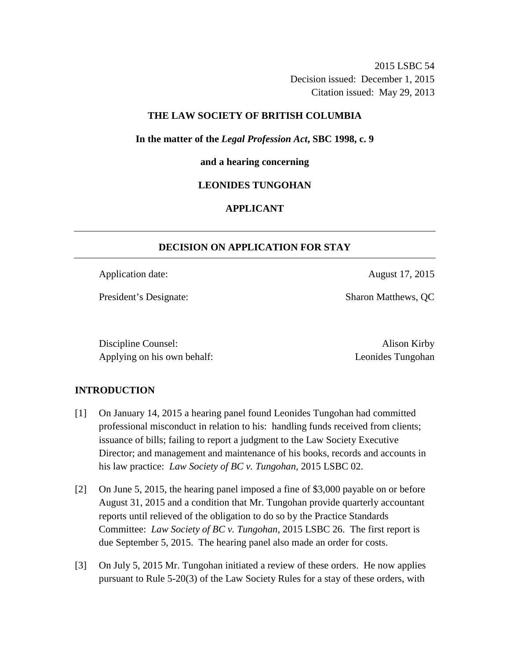2015 LSBC 54 Decision issued: December 1, 2015 Citation issued: May 29, 2013

# **THE LAW SOCIETY OF BRITISH COLUMBIA**

**In the matter of the** *Legal Profession Act***, SBC 1998, c. 9** 

### **and a hearing concerning**

## **LEONIDES TUNGOHAN**

# **APPLICANT**

# **DECISION ON APPLICATION FOR STAY**

Application date: August 17, 2015

President's Designate: Sharon Matthews, QC

Discipline Counsel: Alison Kirby Applying on his own behalf: Leonides Tungohan

# **INTRODUCTION**

- [1] On January 14, 2015 a hearing panel found Leonides Tungohan had committed professional misconduct in relation to his: handling funds received from clients; issuance of bills; failing to report a judgment to the Law Society Executive Director; and management and maintenance of his books, records and accounts in his law practice: *Law Society of BC v. Tungohan,* 2015 LSBC 02.
- [2] On June 5, 2015, the hearing panel imposed a fine of \$3,000 payable on or before August 31, 2015 and a condition that Mr. Tungohan provide quarterly accountant reports until relieved of the obligation to do so by the Practice Standards Committee: *Law Society of BC v. Tungohan*, 2015 LSBC 26. The first report is due September 5, 2015. The hearing panel also made an order for costs.
- [3] On July 5, 2015 Mr. Tungohan initiated a review of these orders. He now applies pursuant to Rule 5-20(3) of the Law Society Rules for a stay of these orders, with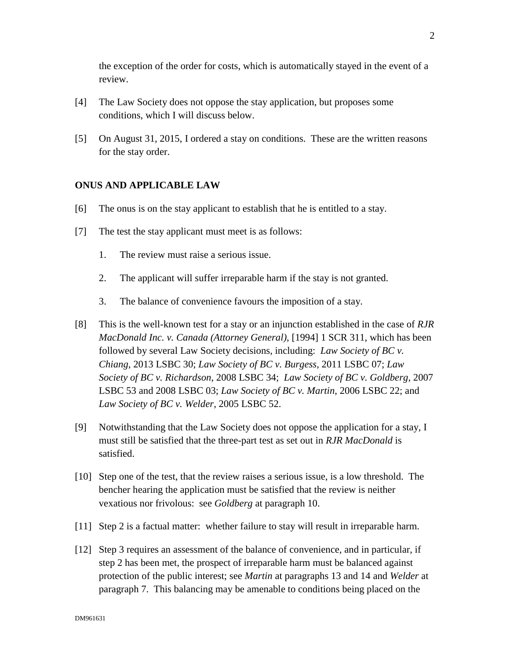the exception of the order for costs, which is automatically stayed in the event of a review.

- [4] The Law Society does not oppose the stay application, but proposes some conditions, which I will discuss below.
- [5] On August 31, 2015, I ordered a stay on conditions. These are the written reasons for the stay order.

### **ONUS AND APPLICABLE LAW**

- [6] The onus is on the stay applicant to establish that he is entitled to a stay.
- [7] The test the stay applicant must meet is as follows:
	- 1. The review must raise a serious issue.
	- 2. The applicant will suffer irreparable harm if the stay is not granted.
	- 3. The balance of convenience favours the imposition of a stay.
- [8] This is the well-known test for a stay or an injunction established in the case of *RJR MacDonald Inc. v. Canada (Attorney General)*, [1994] 1 SCR 311, which has been followed by several Law Society decisions, including: *Law Society of BC v. Chiang*, 2013 LSBC 30; *Law Society of BC v. Burgess*, 2011 LSBC 07; *Law Society of BC v. Richardson*, 2008 LSBC 34; *Law Society of BC v. Goldberg*, 2007 LSBC 53 and 2008 LSBC 03; *Law Society of BC v. Martin*, 2006 LSBC 22; and *Law Society of BC v. Welder*, 2005 LSBC 52.
- [9] Notwithstanding that the Law Society does not oppose the application for a stay, I must still be satisfied that the three-part test as set out in *RJR MacDonald* is satisfied.
- [10] Step one of the test, that the review raises a serious issue, is a low threshold. The bencher hearing the application must be satisfied that the review is neither vexatious nor frivolous: see *Goldberg* at paragraph 10.
- [11] Step 2 is a factual matter: whether failure to stay will result in irreparable harm.
- [12] Step 3 requires an assessment of the balance of convenience, and in particular, if step 2 has been met, the prospect of irreparable harm must be balanced against protection of the public interest; see *Martin* at paragraphs 13 and 14 and *Welder* at paragraph 7. This balancing may be amenable to conditions being placed on the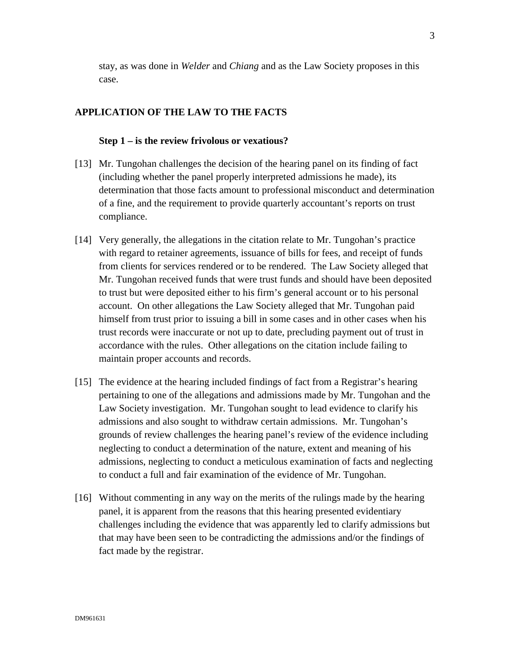stay, as was done in *Welder* and *Chiang* and as the Law Society proposes in this case.

### **APPLICATION OF THE LAW TO THE FACTS**

#### **Step 1 – is the review frivolous or vexatious?**

- [13] Mr. Tungohan challenges the decision of the hearing panel on its finding of fact (including whether the panel properly interpreted admissions he made), its determination that those facts amount to professional misconduct and determination of a fine, and the requirement to provide quarterly accountant's reports on trust compliance.
- [14] Very generally, the allegations in the citation relate to Mr. Tungohan's practice with regard to retainer agreements, issuance of bills for fees, and receipt of funds from clients for services rendered or to be rendered. The Law Society alleged that Mr. Tungohan received funds that were trust funds and should have been deposited to trust but were deposited either to his firm's general account or to his personal account. On other allegations the Law Society alleged that Mr. Tungohan paid himself from trust prior to issuing a bill in some cases and in other cases when his trust records were inaccurate or not up to date, precluding payment out of trust in accordance with the rules. Other allegations on the citation include failing to maintain proper accounts and records.
- [15] The evidence at the hearing included findings of fact from a Registrar's hearing pertaining to one of the allegations and admissions made by Mr. Tungohan and the Law Society investigation. Mr. Tungohan sought to lead evidence to clarify his admissions and also sought to withdraw certain admissions. Mr. Tungohan's grounds of review challenges the hearing panel's review of the evidence including neglecting to conduct a determination of the nature, extent and meaning of his admissions, neglecting to conduct a meticulous examination of facts and neglecting to conduct a full and fair examination of the evidence of Mr. Tungohan.
- [16] Without commenting in any way on the merits of the rulings made by the hearing panel, it is apparent from the reasons that this hearing presented evidentiary challenges including the evidence that was apparently led to clarify admissions but that may have been seen to be contradicting the admissions and/or the findings of fact made by the registrar.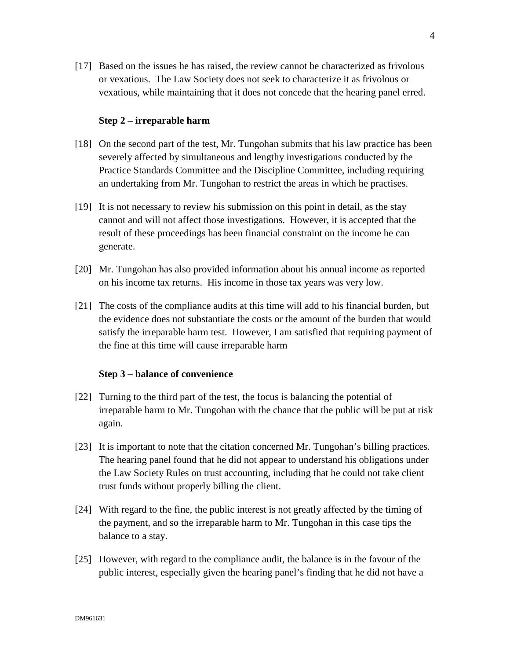[17] Based on the issues he has raised, the review cannot be characterized as frivolous or vexatious. The Law Society does not seek to characterize it as frivolous or vexatious, while maintaining that it does not concede that the hearing panel erred.

### **Step 2 – irreparable harm**

- [18] On the second part of the test, Mr. Tungohan submits that his law practice has been severely affected by simultaneous and lengthy investigations conducted by the Practice Standards Committee and the Discipline Committee, including requiring an undertaking from Mr. Tungohan to restrict the areas in which he practises.
- [19] It is not necessary to review his submission on this point in detail, as the stay cannot and will not affect those investigations. However, it is accepted that the result of these proceedings has been financial constraint on the income he can generate.
- [20] Mr. Tungohan has also provided information about his annual income as reported on his income tax returns. His income in those tax years was very low.
- [21] The costs of the compliance audits at this time will add to his financial burden, but the evidence does not substantiate the costs or the amount of the burden that would satisfy the irreparable harm test. However, I am satisfied that requiring payment of the fine at this time will cause irreparable harm

#### **Step 3 – balance of convenience**

- [22] Turning to the third part of the test, the focus is balancing the potential of irreparable harm to Mr. Tungohan with the chance that the public will be put at risk again.
- [23] It is important to note that the citation concerned Mr. Tungohan's billing practices. The hearing panel found that he did not appear to understand his obligations under the Law Society Rules on trust accounting, including that he could not take client trust funds without properly billing the client.
- [24] With regard to the fine, the public interest is not greatly affected by the timing of the payment, and so the irreparable harm to Mr. Tungohan in this case tips the balance to a stay.
- [25] However, with regard to the compliance audit, the balance is in the favour of the public interest, especially given the hearing panel's finding that he did not have a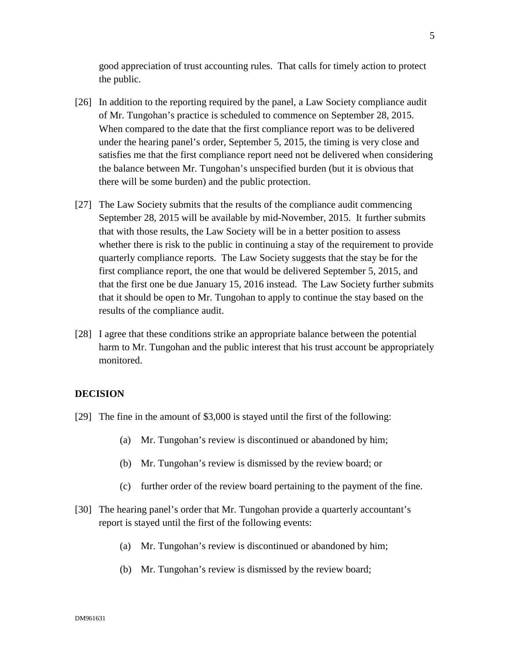good appreciation of trust accounting rules. That calls for timely action to protect the public.

- [26] In addition to the reporting required by the panel, a Law Society compliance audit of Mr. Tungohan's practice is scheduled to commence on September 28, 2015. When compared to the date that the first compliance report was to be delivered under the hearing panel's order, September 5, 2015, the timing is very close and satisfies me that the first compliance report need not be delivered when considering the balance between Mr. Tungohan's unspecified burden (but it is obvious that there will be some burden) and the public protection.
- [27] The Law Society submits that the results of the compliance audit commencing September 28, 2015 will be available by mid-November, 2015. It further submits that with those results, the Law Society will be in a better position to assess whether there is risk to the public in continuing a stay of the requirement to provide quarterly compliance reports. The Law Society suggests that the stay be for the first compliance report, the one that would be delivered September 5, 2015, and that the first one be due January 15, 2016 instead. The Law Society further submits that it should be open to Mr. Tungohan to apply to continue the stay based on the results of the compliance audit.
- [28] I agree that these conditions strike an appropriate balance between the potential harm to Mr. Tungohan and the public interest that his trust account be appropriately monitored.

### **DECISION**

- [29] The fine in the amount of \$3,000 is stayed until the first of the following:
	- (a) Mr. Tungohan's review is discontinued or abandoned by him;
	- (b) Mr. Tungohan's review is dismissed by the review board; or
	- (c) further order of the review board pertaining to the payment of the fine.
- [30] The hearing panel's order that Mr. Tungohan provide a quarterly accountant's report is stayed until the first of the following events:
	- (a) Mr. Tungohan's review is discontinued or abandoned by him;
	- (b) Mr. Tungohan's review is dismissed by the review board;